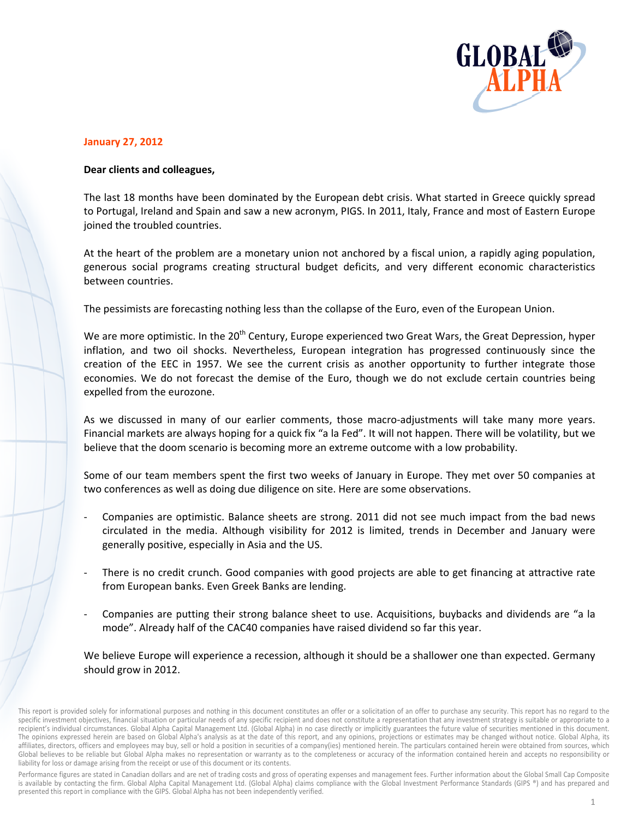

## **January 27, 2012**

## Dear clients and colleagues,

The last 18 months have been dominated by the European debt crisis. What started in Greece quickly spread to Portugal, Ireland and Spain and saw a new acronym, PIGS. In 2011, Italy, France and most of Eastern Europe joined the troubled countries.

At the heart of the problem are a monetary union not anchored by a fiscal union, a rapidly aging population, generous social programs creating structural budget deficits, and very different economic characteristics between countries.

The pessimists are forecasting nothing less than the collapse of the Euro, even of the European Union.

We are more optimistic. In the 20<sup>th</sup> Century, Europe experienced two Great Wars, the Great Depression, hyper inflation, and two oil shocks. Nevertheless, European integration has progressed continuously since the creation of the EEC in 1957. We see the current crisis as another opportunity to further integrate those economies. We do not forecast the demise of the Euro, though we do not exclude certain countries being expelled from the eurozone.

As we discussed in many of our earlier comments, those macro-adjustments will take many more years. Financial markets are always hoping for a quick fix "a la Fed". It will not happen. There will be volatility, but we believe that the doom scenario is becoming more an extreme outcome with a low probability.

Some of our team members spent the first two weeks of January in Europe. They met over 50 companies at two conferences as well as doing due diligence on site. Here are some observations.

- Companies are optimistic. Balance sheets are strong. 2011 did not see much impact from the bad news circulated in the media. Although visibility for 2012 is limited, trends in December and January were generally positive, especially in Asia and the US.
- There is no credit crunch. Good companies with good projects are able to get financing at attractive rate from European banks. Even Greek Banks are lending.
- Companies are putting their strong balance sheet to use. Acquisitions, buybacks and dividends are "a la mode". Already half of the CAC40 companies have raised dividend so far this year.

We believe Europe will experience a recession, although it should be a shallower one than expected. Germany should grow in 2012.

Performance figures are stated in Canadian dollars and are net of trading costs and gross of operating expenses and management fees. Further information about the Global Small Cap Composite is available by contacting the firm. Global Alpha Capital Management Ltd. (Global Alpha) claims compliance with the Global Investment Performance Standards (GIPS ®) and has prepared and presented this report in compliance with the GIPS. Global Alpha has not been independently verified.

This report is provided solely for informational purposes and nothing in this document constitutes an offer or a solicitation of an offer to purchase any security. This report has no regard to the specific investment objectives, financial situation or particular needs of any specific recipient and does not constitute a representation that any investment strategy is suitable or appropriate to a recipient's individual circumstances. Global Alpha Capital Management Ltd. (Global Alpha) in no case directly or implicitly guarantees the future value of securities mentioned in this document. The opinions expressed herein are based on Global Alpha's analysis as at the date of this report, and any opinions, projections or estimates may be changed without notice. Global Alpha, its affiliates, directors, officers and employees may buy, sell or hold a position in securities of a company(ies) mentioned herein. The particulars contained herein were obtained from sources, which Global believes to be reliable but Global Alpha makes no representation or warranty as to the completeness or accuracy of the information contained herein and accepts no responsibility or liability for loss or damage arising from the receipt or use of this document or its contents.